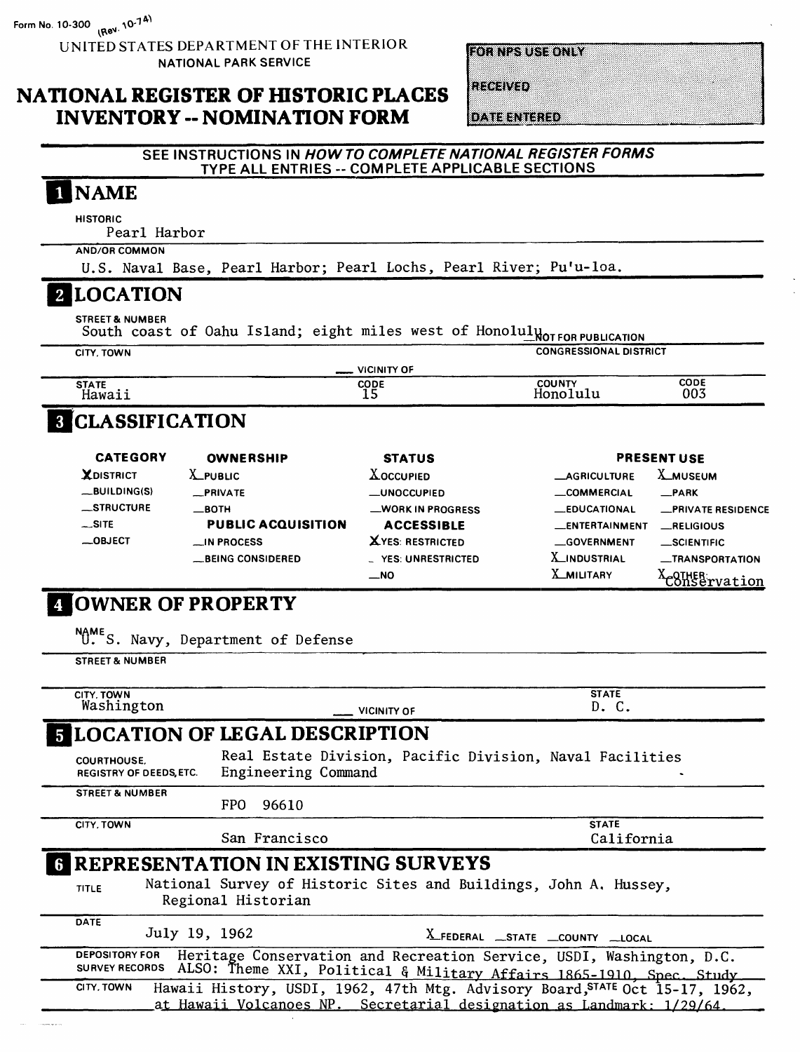Form No. 10-300  $^{\text{(Rev. 10-74)}}$ 

**DATE**

**UNITED STATES DEPARTMENT OF THE INTERIOR NATIONAL PARK SERVICE**

**FORTESTER ON W** 

#### **NATIONAL REGISTER OF HISTORIC PLACES INVENTORY - NOMINATION FORM**

**RECEIVED** 

**DATE ENTERED** 

#### **SEE INSTRUCTIONS IN HOW TO COMPLETE NATIONAL REGISTER FORMS \_\_\_\_\_\_\_\_\_TYPE ALL ENTRIES -- COMPLETE APPLICABLE SECTIONS\_\_\_\_\_ | NAME HISTORIC** Pearl Harbor **AND/OR COMMON** U.S. Naval Base, Pearl Harbor; Pearl Lochs, Pearl River; Pu'u-loa. **LOCATION STREET & NUMBER** SIREET & NOMBER<br>South coast of Oahu Island; eight miles west of Honoluly ot FOR PUBLICATION **CITY. TOWN CONGRESSIONAL DISTRICT VICINITY OF CODE STATE CODE COUNTY** Honolulu **15 003** Hawaii **CLASSIFICATION CATEGORY OWNERSHIP STATUS PRESENT USE XDISTRICT X\_PUBLIC X**OCCUPIED **—AGRICULTURE X\_MUSEUM** \_BUILDING(S) **—PRIVATE** —UNOCCUPIED **—COMMERCIAL —PARK —STRUCTURE —BOTH** —WORK IN PROGRESS **—EDUCATIONAL —PRIVATE RESIDENCE**  $\sim$ SITE **PUBLIC ACQUISITION ACCESSIBLE —ENTERTAINMENT —RELIGIOUS** —OBJECT \_IN PROCESS **XYES: RESTRICTED —GOVERNMENT —SCIENTIFIC**  —BEING CONSIDERED \_ YES: UNRESTRICTED **X-INDUSTRIAL —TRANSPORTATION**  X<sub>COTHER</sub> vation **X\_MILITARY** \_NO **[OWNER OF PROPERTY** NAME<sub>S</sub>. Navy, Department of Defense **STREET & NUMBER CITY. TOWN STATE**  Washington VICINITY OF **D. C, LOCATION OF LEGAL DESCRIPTION** Real Estate Division, Pacific Division, Naval Facilities **COURTHOUSE. REGISTRY OF DEEDS,ETC.** Engineering Command **STREET & NUMBER** FPO 96610 **STATE CITY. TOWN** San Francisco California

# **REPRESENTATION IN EXISTING SURVEYS**

TITLE National Survey of Historic Sites and Buildings, John A. Hussey, Regional Historian

| July 19, 1962         | X_FEDERAL _STATE _COUNTY _LOCAL                                                                                                                             |
|-----------------------|-------------------------------------------------------------------------------------------------------------------------------------------------------------|
| <b>DEPOSITORY FOR</b> | Heritage Conservation and Recreation Service, USDI, Washington, D.C.<br>SURVEY RECORDS ALSO: Theme XXI, Political & Military Affairs 1865-1910, Spec. Study |
| CITY, TOWN            | Hawaii History, USDI, 1962, 47th Mtg. Advisory Board, STATE Oct 15-17, 1962,<br>at Hawaii Volcanoes NP. Secretarial designation as Landmark: 1/29/64.       |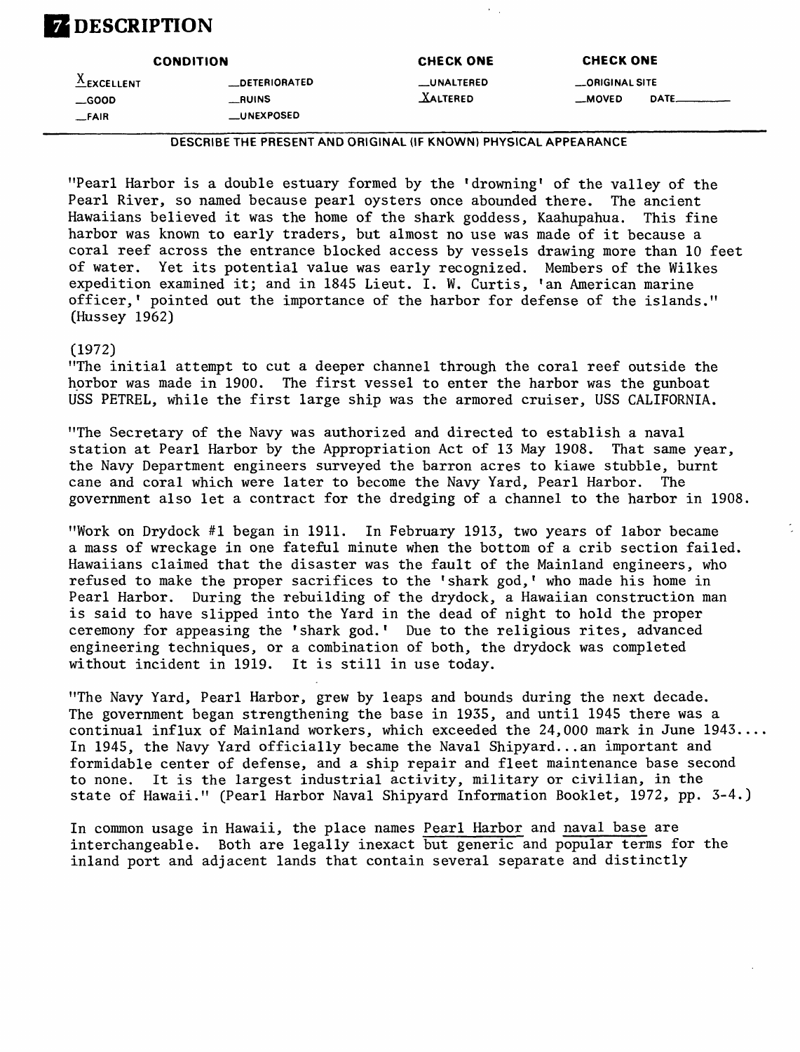# **DESCRIPTION**

|                       | <b>CONDITION</b>     | <b>CHECK ONE</b>  | <b>CHECK ONE</b> |                      |
|-----------------------|----------------------|-------------------|------------------|----------------------|
| $\triangle$ EXCELLENT | <b>LOETERIORATED</b> | <b>LUNALTERED</b> | _ORIGINAL SITE   |                      |
| $\equiv$ GOOD         | <b>__RUINS</b>       | <b>XALTERED</b>   | __MOVED          | $\mathsf{DATE} \_\_$ |
| $-FAIR$               | <b>LUNEXPOSED</b>    |                   |                  |                      |

**DESCRIBE THE PRESENT AND ORIGINAL (IF KNOWN) PHYSICAL APPEARANCE**

"Pearl Harbor is a double estuary formed by the 'drowning' of the valley of the Pearl River, so named because pearl oysters once abounded there. The ancient Hawaiians believed it was the home of the shark goddess, Kaahupahua. This fine harbor was known to early traders, but almost no use was made of it because a coral reef across the entrance blocked access by vessels drawing more than 10 feet of water. Yet its potential value was early recognized. Members of the Wilkes expedition examined it; and in 1845 Lieut. I. W. Curtis, 'an American marine officer,' pointed out the importance of the harbor for defense of the islands." (Hussey 1962)

#### (1972)

"The initial attempt to cut a deeper channel through the coral reef outside the horbor was made in 1900. The first vessel to enter the harbor was the gunboat USS PETREL, while the first large ship was the armored cruiser, USS CALIFORNIA.

"The Secretary of the Navy was authorized and directed to establish a naval station at Pearl Harbor by the Appropriation Act of 13 May 1908. That same year, the Navy Department engineers surveyed the barren acres to kiawe stubble, burnt cane and coral which were later to become the Navy Yard, Pearl Harbor. The government also let a contract for the dredging of a channel to the harbor in 1908.

"Work on Drydock #1 began in 1911. In February 1913, two years of labor became a mass of wreckage in one fateful minute when the bottom of a crib section failed. Hawaiians claimed that the disaster was the fault of the Mainland engineers, who refused to make the proper sacrifices to the 'shark god,' who made his home in Pearl Harbor. During the rebuilding of the drydock, a Hawaiian construction man is said to have slipped into the Yard in the dead of night to hold the proper ceremony for appeasing the 'shark god.' Due to the religious rites, advanced engineering techniques, or a combination of both, the drydock was completed without incident in 1919. It is still in use today.

"The Navy Yard, Pearl Harbor, grew by leaps and bounds during the next decade. The government began strengthening the base in 1935, and until 1945 there was a continual influx of Mainland workers, which exceeded the 24,000 mark in June 1943.. In 1945, the Navy Yard officially became the Naval Shipyard...an important and formidable center of defense, and a ship repair and fleet maintenance base second to none. It is the largest industrial activity, military or civilian, in the state of Hawaii." (Pearl Harbor Naval Shipyard Information Booklet, 1972, pp. 3-4.)

In common usage in Hawaii, the place names Pearl Harbor and naval base are interchangeable. Both are legally inexact but generic and popular terms for the inland port and adjacent lands that contain several separate and distinctly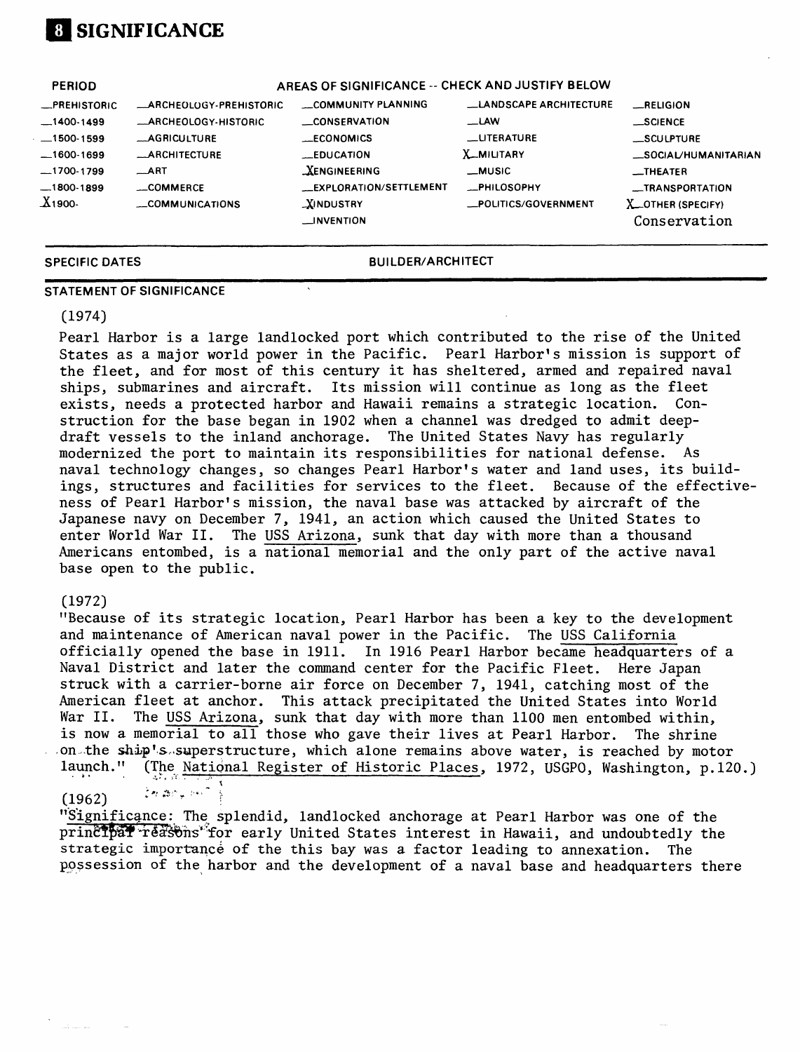# **SIGNIFICANCE**

| <b>PERIOD</b>       |                                | AREAS OF SIGNIFICANCE -- CHECK AND JUSTIFY BELOW |                               |                      |
|---------------------|--------------------------------|--------------------------------------------------|-------------------------------|----------------------|
| <b>_PREHISTORIC</b> | <b>MARCHEOLOGY-PREHISTORIC</b> | COMMUNITY PLANNING                               | <b>LANDSCAPE ARCHITECTURE</b> | RELIGION             |
| $-1400-1499$        | <b>ARCHEOLOGY-HISTORIC</b>     | <b>LONSERVATION</b>                              | <b>LAW</b>                    | __SCIENCE            |
| $-1500-1599$        | <b>__AGRICULTURE</b>           | __ECONOMICS                                      | <b>LUTERATURE</b>             | _SCULPTURE           |
| $-1600-1699$        | <b>__ARCHITECTURE</b>          | <b>EDUCATION</b>                                 | <b>X_MILITARY</b>             | _SOCIAL/HUMANITARIAN |
| $-1700-1799$        | $\_ART$                        | <b>XENGINEERING</b>                              | __MUSIC                       | $-$ THEATER          |
| $-1800-1899$        | __COMMERCE                     | <b>LEXPLORATION/SETTLEMENT</b>                   | <b>_PHILOSOPHY</b>            | __TRANSPORTATION     |
| $X_1$ 900-          | COMMUNICATIONS                 | <b>XINDUSTRY</b>                                 | _POLITICS/GOVERNMENT          | X OTHER (SPECIFY)    |
|                     |                                | $\Box$ INVENTION                                 |                               | Conservation         |

#### **SPECIFIC DATES BUILDER/ARCHITECT**

#### **STATEMENT OF SIGNIFICANCE**

#### (1974)

Pearl Harbor is a large landlocked port which contributed to the rise of the United States as a major world power in the Pacific. Pearl Harbor's mission is support of the fleet, and for most of this century it has sheltered, armed and repaired naval ships, submarines and aircraft. Its mission will continue as long as the fleet exists, needs a protected harbor and Hawaii remains a strategic location. Construction for the base began in 1902 when a channel was dredged to admit deepdraft vessels to the inland anchorage. The United States Navy has regularly modernized the port to maintain its responsibilities for national defense. As naval technology changes, so changes Pearl Harbor's water and land uses, its buildings, structures and facilities for services to the fleet. Because of the effectiveness of Pearl Harbor's mission, the naval base was attacked by aircraft of the Japanese navy on December 7, 1941, an action which caused the United States to enter World War II. The USS Arizona, sunk that day with more than a thousand Americans entombed, is a national memorial and the only part of the active naval base open to the public.

#### (1972)

"Because of its strategic location, Pearl Harbor has been a key to the development and maintenance of American naval power in the Pacific. The USS California officially opened the base in 1911. In 1916 Pearl Harbor became headquarters of a Naval District and later the command center for the Pacific Fleet. Here Japan struck with a carrier-borne air force on December 7, 1941, catching most of the American fleet at anchor. This attack precipitated the United States into World War II. The USS Arizona, sunk that day with more than 1100 men entombed within, is now a memorial to all those who gave their lives at Pearl Harbor. The shrine .on -the ship's,.superstructure, which alone remains above water, is reached by motor launch." (The National Register of Historic Places, 1972, USGPO, Washington, p.120.)

 $(1962)$   $\frac{2\pi}{3}$   $\frac{32}{3}$   $\frac{1}{3}$   $\frac{1}{3}$   $\frac{1}{3}$   $\frac{1}{3}$   $\frac{1}{3}$   $\frac{1}{3}$   $\frac{1}{3}$   $\frac{1}{3}$   $\frac{1}{3}$   $\frac{1}{3}$   $\frac{1}{3}$   $\frac{1}{3}$   $\frac{1}{3}$   $\frac{1}{3}$   $\frac{1}{3}$   $\frac{1}{3}$   $\frac{1}{3}$   $\frac{1}{3}$   $\frac{1}{3}$ 

"Significance: The splendid, landlocked anchorage at Pearl Harbor was one of the principar reasons for early United States interest in Hawaii, and undoubtedly the strategic importance of the this bay was a factor leading to annexation. The possession of the harbor and the development of a naval base and headquarters there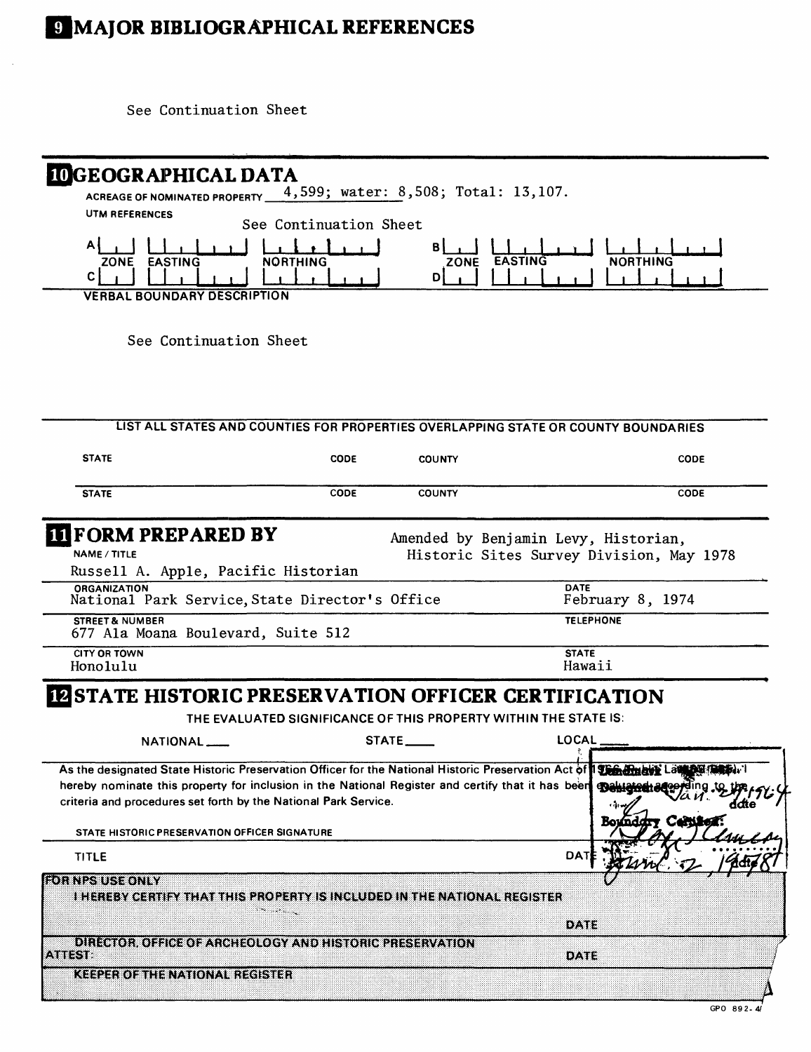# **ElMAJOR BIBLIOGRAPHICAL REFERENCES**

See Continuation Sheet

| <b>IDGEOGRAPHICAL DATA</b>                                                                                                                                                                                                                                                                          |                                                                  |                                    |                                 |                          |
|-----------------------------------------------------------------------------------------------------------------------------------------------------------------------------------------------------------------------------------------------------------------------------------------------------|------------------------------------------------------------------|------------------------------------|---------------------------------|--------------------------|
| ACREAGE OF NOMINATED PROPERTY 4,599; water: 8,508; Total: 13,107.                                                                                                                                                                                                                                   |                                                                  |                                    |                                 |                          |
| <b>UTM REFERENCES</b>                                                                                                                                                                                                                                                                               | See Continuation Sheet                                           |                                    |                                 |                          |
| ZONE EASTING<br>$\mathsf{c}\,\vert$<br><b>VERBAL BOUNDARY DESCRIPTION</b>                                                                                                                                                                                                                           | NORTHING                                                         | BI<br><b>EASTING</b><br>ZONE<br>DĮ | <b>NORTHING</b>                 |                          |
|                                                                                                                                                                                                                                                                                                     |                                                                  |                                    |                                 |                          |
| See Continuation Sheet                                                                                                                                                                                                                                                                              |                                                                  |                                    |                                 |                          |
| LIST ALL STATES AND COUNTIES FOR PROPERTIES OVERLAPPING STATE OR COUNTY BOUNDARIES                                                                                                                                                                                                                  |                                                                  |                                    |                                 |                          |
| <b>STATE</b>                                                                                                                                                                                                                                                                                        | <b>CODE</b>                                                      | <b>COUNTY</b>                      |                                 | <b>CODE</b>              |
| <b>STATE</b>                                                                                                                                                                                                                                                                                        | <b>CODE</b>                                                      | <b>COUNTY</b>                      |                                 | <b>CODE</b>              |
| Russell A. Apple, Pacific Historian<br><b>ORGANIZATION</b><br>National Park Service, State Director's Office                                                                                                                                                                                        |                                                                  |                                    | <b>DATE</b><br>February 8, 1974 |                          |
| <b>STREET &amp; NUMBER</b><br>677 Ala Moana Boulevard, Suite 512                                                                                                                                                                                                                                    |                                                                  |                                    | <b>TELEPHONE</b>                |                          |
| <b>CITY OR TOWN</b><br>Honolulu                                                                                                                                                                                                                                                                     |                                                                  |                                    | <b>STATE</b><br>Hawaii          |                          |
| <b>E2STATE HISTORIC PRESERVATION OFFICER CERTIFICATION</b>                                                                                                                                                                                                                                          | THE EVALUATED SIGNIFICANCE OF THIS PROPERTY WITHIN THE STATE IS: |                                    |                                 |                          |
| NATIONAL <sub>-</sub>                                                                                                                                                                                                                                                                               |                                                                  | STATE _____                        | <b>LOCAL</b>                    |                          |
| As the designated State Historic Preservation Officer for the National Historic Preservation Act of 19 Sendingly Law 19 Law<br>hereby nominate this property for inclusion in the National Register and certify that it has been<br>criteria and procedures set forth by the National Park Service. |                                                                  |                                    |                                 | <b>Denierstredeprein</b> |
| STATE HISTORIC PRESERVATION OFFICER SIGNATURE                                                                                                                                                                                                                                                       |                                                                  |                                    | Bounddr                         | ∙ Ceru                   |
| <b>TITLE</b>                                                                                                                                                                                                                                                                                        |                                                                  |                                    | DAT                             |                          |
| <b>FOR NPS USE ONLY</b>                                                                                                                                                                                                                                                                             |                                                                  |                                    |                                 |                          |
| <b>I HEREBY CERTIFY THAT THIS PROPERTY IS INCLUDED IN THE NATIONAL REGISTER</b>                                                                                                                                                                                                                     |                                                                  |                                    | DATE                            |                          |
| DIRECTOR, OFFICE OF ARCHEOLOGY AND HISTORIC PRESERVATION<br><b>ATTEST:</b>                                                                                                                                                                                                                          |                                                                  |                                    | DATE                            |                          |
| <b>KEEPER OF THE NATIONAL REGISTER</b>                                                                                                                                                                                                                                                              |                                                                  |                                    |                                 |                          |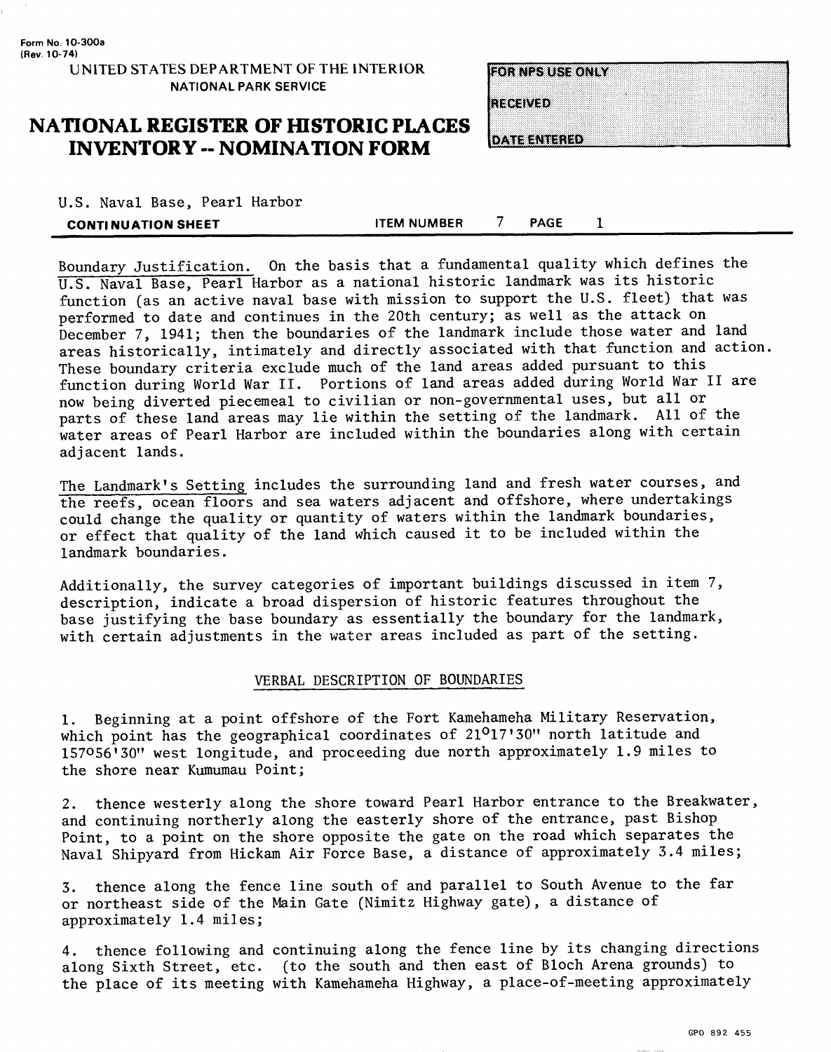#### **EXPENDENTS HOMEY**

**RECEIVED** 

#### **NATIONAL REGISTER OF HISTORIC PLACES INVENTORY - NOMINATION FORM**

|  |  | <b>DATE ENTERED</b> |
|--|--|---------------------|

U.S. Naval Base, Pearl Harbor

| <b>CONTINUATION SHEET</b> | <b>ITEM NUMBER</b> | <b>PAGE</b> |  |
|---------------------------|--------------------|-------------|--|
|                           |                    |             |  |

Boundary Justification. On the basis that a fundamental quality which defines the U.S. Naval Base, Pearl Harbor as a national historic landmark was its historic function (as an active naval base with mission to support the U.S. fleet) that was performed to date and continues in the 20th century; as well as the attack on December 7, 1941; then the boundaries of the landmark include those water and land areas historically, intimately and directly associated with that function and action These boundary criteria exclude much of the land areas added pursuant to this function during World War II. Portions of land areas added during World War II are now being diverted piecemeal to civilian or non-governmental uses, but all or parts of these land areas may lie within the setting of the landmark. All of the water areas of Pearl Harbor are included within the boundaries along with certain adjacent lands.

The Landmark's Setting includes the surrounding land and fresh water courses, and the reefs, ocean floors and sea waters adjacent and offshore, where undertakings could change the quality or quantity of waters within the landmark boundaries, or effect that quality of the land which caused it to be included within the landmark boundaries.

Additionally, the survey categories of important buildings discussed in item 7, description, indicate a broad dispersion of historic features throughout the base justifying the base boundary as essentially the boundary for the landmark, with certain adjustments in the water areas included as part of the setting.

#### VERBAL DESCRIPTION OF BOUNDARIES

Beginning at a point offshore of the Fort Kamehameha Military Reservation, which point has the geographical coordinates of 21<sup>0</sup>17'30" north latitude and 157056'30" west longitude, and proceeding due north approximately 1.9 miles to the shore near Kumumau Point;

2. thence westerly along the shore toward Pearl Harbor entrance to the Breakwater, and continuing northerly along the easterly shore of the entrance, past Bishop Point, to a point on the shore opposite the gate on the road which separates the Naval Shipyard from Hickam Air Force Base, a distance of approximately 3.4 miles;

3. thence along the fence line south of and parallel to South Avenue to the far or northeast side of the Main Gate (Nimitz Highway gate), a distance of approximately 1.4 miles;

4. thence following and continuing along the fence line by its changing directions along Sixth Street, etc. (to the south and then east of Bloch Arena grounds) to the place of its meeting with Kamehameha Highway, a place-of-meeting approximately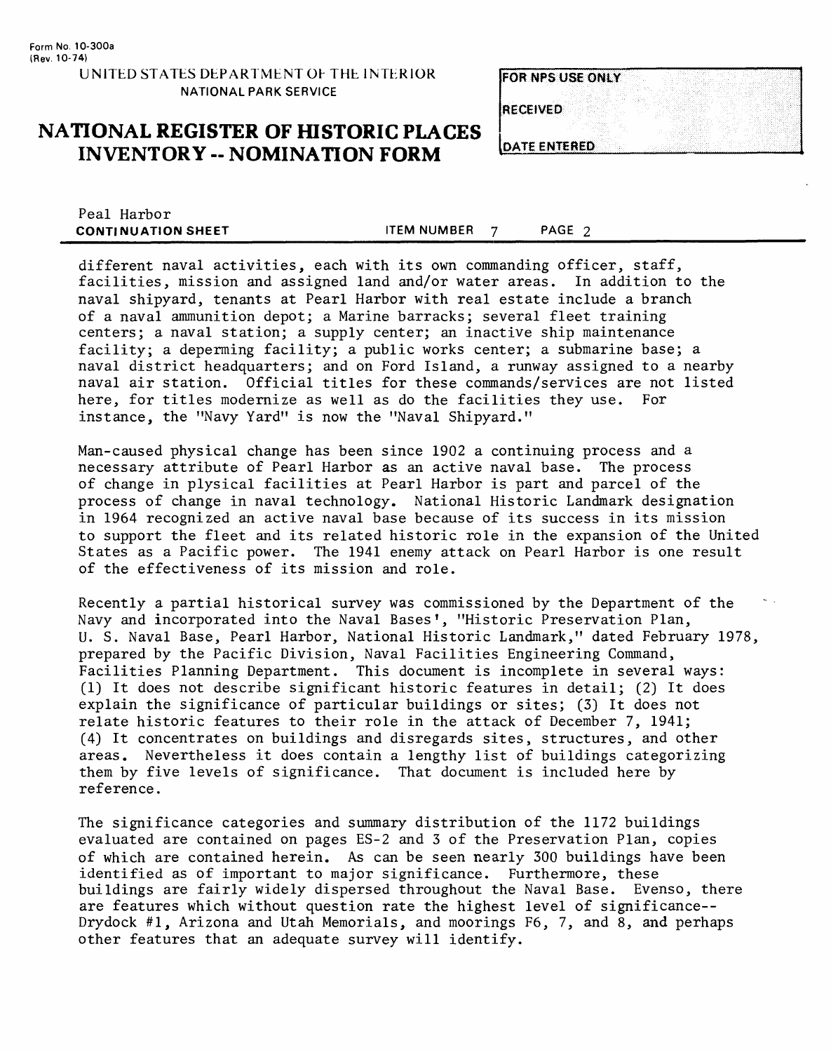#### **UNITED STATES DEPARTMENT Oh THh INThRIOR NATIONAL PARK SERVICE**

#### **NATIONAL REGISTER OF HISTORIC PLACES INVENTORY -- NOMINATION FORM**

| <b>FOR NPS USE ONLY</b> |  |
|-------------------------|--|
|                         |  |
| RECEIVED                |  |
|                         |  |
|                         |  |
| <b>IDATE ENTERED</b>    |  |

| Peal Harbor               |                    |        |  |
|---------------------------|--------------------|--------|--|
| <b>CONTINUATION SHEET</b> | <b>ITEM NUMBER</b> | PAGE 2 |  |

different naval activities, each with its own commanding officer, staff, facilities, mission and assigned land and/or water areas. In addition to the naval shipyard, tenants at Pearl Harbor with real estate include a branch of a naval ammunition depot; a Marine barracks; several fleet training centers; a naval station; a supply center; an inactive ship maintenance facility; a deperming facility; a public works center; a submarine base; a naval district headquarters; and on Ford Island, a runway assigned to a nearby naval air station. Official titles for these commands/services are not listed here, for titles modernize as well as do the facilities they use. For instance, the "Navy Yard" is now the "Naval Shipyard."

Man-caused physical change has been since 1902 a continuing process and a necessary attribute of Pearl Harbor as an active naval base. The process of change in plysical facilities at Pearl Harbor is part and parcel of the process of change in naval technology. National Historic Landmark designation in 1964 recognized an active naval base because of its success in its mission to support the fleet and its related historic role in the expansion of the United States as a Pacific power. The 1941 enemy attack on Pearl Harbor is one result of the effectiveness of its mission and role.

Recently a partial historical survey was commissioned by the Department of the Navy and incorporated into the Naval Bases', "Historic Preservation Plan, U. S. Naval Base, Pearl Harbor, National Historic Landmark," dated February 1978, prepared by the Pacific Division, Naval Facilities Engineering Command, Facilities Planning Department. This document is incomplete in several ways: (1) It does not describe significant historic features in detail; (2) It does explain the significance of particular buildings or sites; (3) It does not relate historic features to their role in the attack of December 7, 1941; (4) It concentrates on buildings and disregards sites, structures, and other areas. Nevertheless it does contain a lengthy list of buildings categorizing them by five levels of significance. That document is included here by reference.

The significance categories and summary distribution of the 1172 buildings evaluated are contained on pages ES-2 and 3 of the Preservation Plan, copies of which are contained herein. As can be seen nearly 300 buildings have been identified as of important to major significance. Furthermore, these buildings are fairly widely dispersed throughout the Naval Base. Evenso, there are features which without question rate the highest level of significance-- Drydock #1, Arizona and Utah Memorials, and moorings F6, 7, and 8, and perhaps other features that an adequate survey will identify.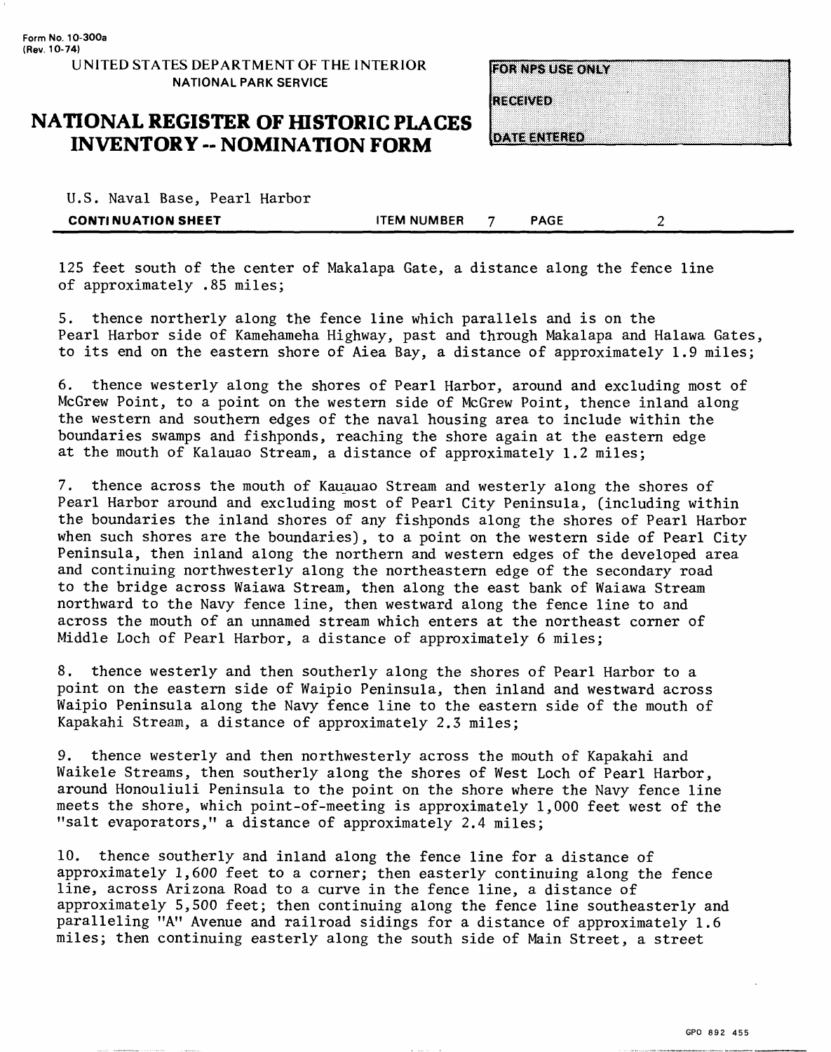**FORNISSUS CONN** 

**l**received

**OATE ENTERED** 

#### **NATIONAL REGISTER OF HISTORIC PLACES INVENTORY -- NOMINATION FORM**

U.S. Naval Base, Pearl Harbor

**CONTINUATION SHEET THEM NUMBER ASSESSED ASSESSED.** TEM NUMBER 7 PAGE 2

125 feet south of the center of Makalapa Gate, a distance along the fence line of approximately .85 miles;

5. thence northerly along the fence line which parallels and is on the Pearl Harbor side of Kamehameha Highway, past and through Makalapa and Halawa Gates, to its end on the eastern shore of Aiea Bay, a distance of approximately 1.9 miles;

6. thence westerly along the shores of Pearl Harbor, around and excluding most of McGrew Point, to a point on the western side of McGrew Point, thence inland along the western and southern edges of the naval housing area to include within the boundaries swamps and fishponds, reaching the shore again at the eastern edge at the mouth of Kalauao Stream, a distance of approximately 1.2 miles;

7. thence across the mouth of Kauauao Stream and westerly along the shores of Pearl Harbor around and excluding most of Pearl City Peninsula, (including within the boundaries the inland shores of any fishponds along the shores of Pearl Harbor when such shores are the boundaries), to a point on the western side of Pearl City Peninsula, then inland along the northern and western edges of the developed area and continuing northwesterly along the northeastern edge of the secondary road to the bridge across Waiawa Stream, then along the east bank of Waiawa Stream northward to the Navy fence line, then westward along the fence line to and across the mouth of an unnamed stream which enters at the northeast corner of Middle Loch of Pearl Harbor, a distance of approximately 6 miles;

8. thence westerly and then southerly along the shores of Pearl Harbor to a point on the eastern side of Waipio Peninsula, then inland and westward across Waipio Peninsula along the Navy fence line to the eastern side of the mouth of Kapakahi Stream, a distance of approximately 2.3 miles;

9. thence westerly and then northwesterly across the mouth of Kapakahi and Waikele Streams, then southerly along the shores of West Loch of Pearl Harbor, around Honouliuli Peninsula to the point on the shore where the Navy fence line meets the shore, which point-of-meeting is approximately 1,000 feet west of the "salt evaporators," a distance of approximately 2.4 miles;

10. thence southerly and inland along the fence line for a distance of approximately 1,600 feet to a corner; then easterly continuing along the fence line, across Arizona Road to a curve in the fence line, a distance of approximately 5,500 feet; then continuing along the fence line southeasterly and paralleling "A" Avenue and railroad sidings for a distance of approximately 1.6 miles; then continuing easterly along the south side of Main Street, a street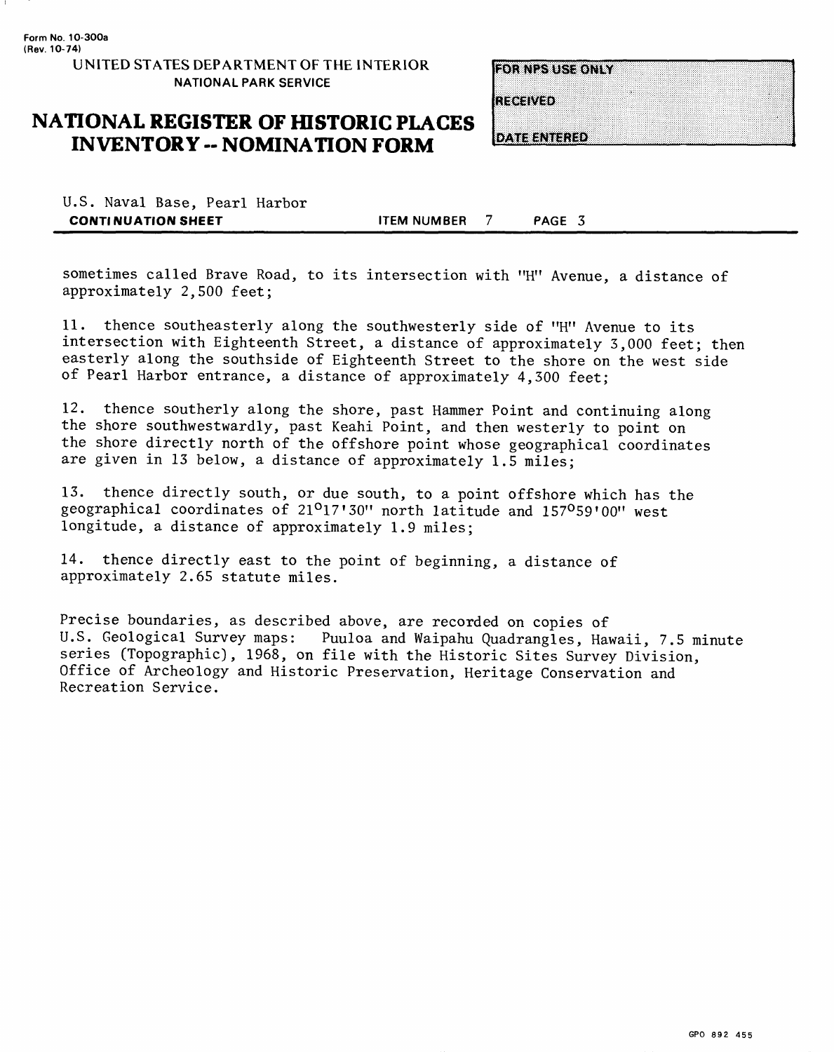| <b>FOR NPS USE ONLY</b> |  |  |
|-------------------------|--|--|
|                         |  |  |

**RECEIVED** 

**DATE ENTERED** 

### **NATIONAL REGISTER OF HISTORIC PLACES INVENTORY -- NOMINATION FORM**

|                           |  | U.S. Naval Base, Pearl Harbor |
|---------------------------|--|-------------------------------|
| <b>CONTINUATION SHEET</b> |  |                               |

**ITEM NUMBER 7 PAGE 3** 

sometimes called Brave Road, to its intersection with "H" Avenue, a distance of approximately 2,500 feet;

11. thence southeasterly along the southwesterly side of "H" Avenue to its intersection with Eighteenth Street, a distance of approximately 3,000 feet; then easterly along the southside of Eighteenth Street to the shore on the west side of Pearl Harbor entrance, a distance of approximately 4,300 feet;

12. thence southerly along the shore, past Hammer Point and continuing along the shore southwestwardly, past Keahi Point, and then westerly to point on the shore directly north of the offshore point whose geographical coordinates are given in 13 below, a distance of approximately 1.5 miles;

13. thence directly south, or due south, to a point offshore which has the geographical coordinates of  $21^017'30''$  north latitude and  $157^059'00''$  west longitude, a distance of approximately 1.9 miles;

14. thence directly east to the point of beginning, a distance of approximately 2.65 statute miles.

Precise boundaries, as described above, are recorded on copies of U.S. Geological Survey maps: Puuloa and Waipahu Quadrangles, Hawaii, 7.5 minute series (Topographic), 1968, on file with the Historic Sites Survey Division, Office of Archeology and Historic Preservation, Heritage Conservation and Recreation Service.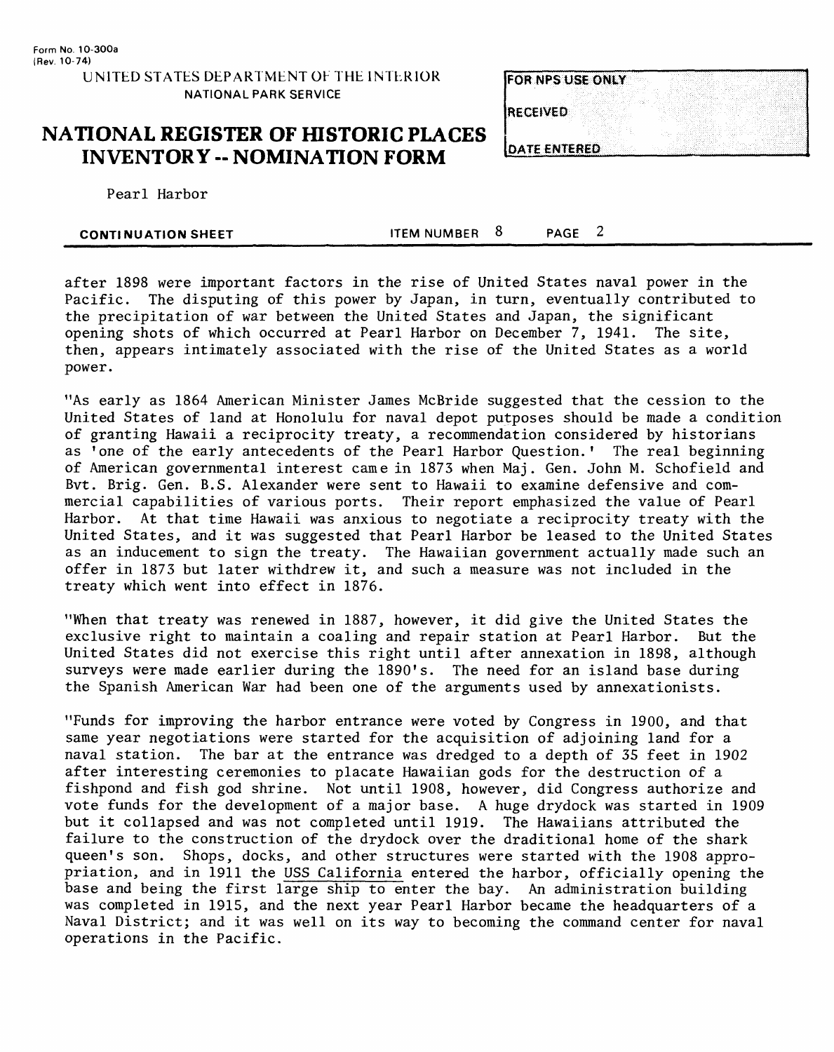#### **NATIONAL REGISTER OF HISTORIC PLACES INVENTORY - NOMINATION FORM**

Pearl Harbor

| FOR NPS USE ONLY    |  |
|---------------------|--|
|                     |  |
| RECEIVED            |  |
|                     |  |
| <b>DATE ENTERED</b> |  |

**CONTINUATION SHEET** TEM NUMBER 8 PAGE 2

after 1898 were important factors in the rise of United States naval power in the Pacific. The disputing of this power by Japan, in turn, eventually contributed to the precipitation of war between the United States and Japan, the significant opening shots of which occurred at Pearl Harbor on December 7, 1941. The site, then, appears intimately associated with the rise of the United States as a world power.

"As early as 1864 American Minister James McBride suggested that the cession to the United States of land at Honolulu for naval depot putposes should be made a condition of granting Hawaii a reciprocity treaty, a recommendation considered by historians as 'one of the early antecedents of the Pearl Harbor Question.' The real beginning of American governmental interest came in 1873 when Maj. Gen. John M. Schofield and Bvt. Brig. Gen. B.S. Alexander were sent to Hawaii to examine defensive and commercial capabilities of various ports. Their report emphasized the value of Pearl Harbor. At that time Hawaii was anxious to negotiate a reciprocity treaty with the United States, and it was suggested that Pearl Harbor be leased to the United States as an inducement to sign the treaty. The Hawaiian government actually made such an offer in 1873 but later withdrew it, and such a measure was not included in the treaty which went into effect in 1876.

"When that treaty was renewed in 1887, however, it did give the United States the exclusive right to maintain a coaling and repair station at Pearl Harbor. But the United States did not exercise this right until after annexation in 1898, although surveys were made earlier during the 1890's. The need for an island base during the Spanish American War had been one of the arguments used by annexationists.

"Funds for improving the harbor entrance were voted by Congress in 1900, and that same year negotiations were started for the acquisition of adjoining land for a naval station. The bar at the entrance was dredged to a depth of 35 feet in 1902 after interesting ceremonies to placate Hawaiian gods for the destruction of a fishpond and fish god shrine. Not until 1908, however, did Congress authorize and vote funds for the development of a major base. A huge drydock was started in 1909 but it collapsed and was not completed until 1919. The Hawaiians attributed the failure to the construction of the drydock over the draditional home of the shark queen's son. Shops, docks, and other structures were started with the 1908 appropriation, and in 1911 the USS California entered the harbor, officially opening the base and being the first large ship to enter the bay. An administration building was completed in 1915, and the next year Pearl Harbor became the headquarters of a Naval District; and it was well on its way to becoming the command center for naval operations in the Pacific.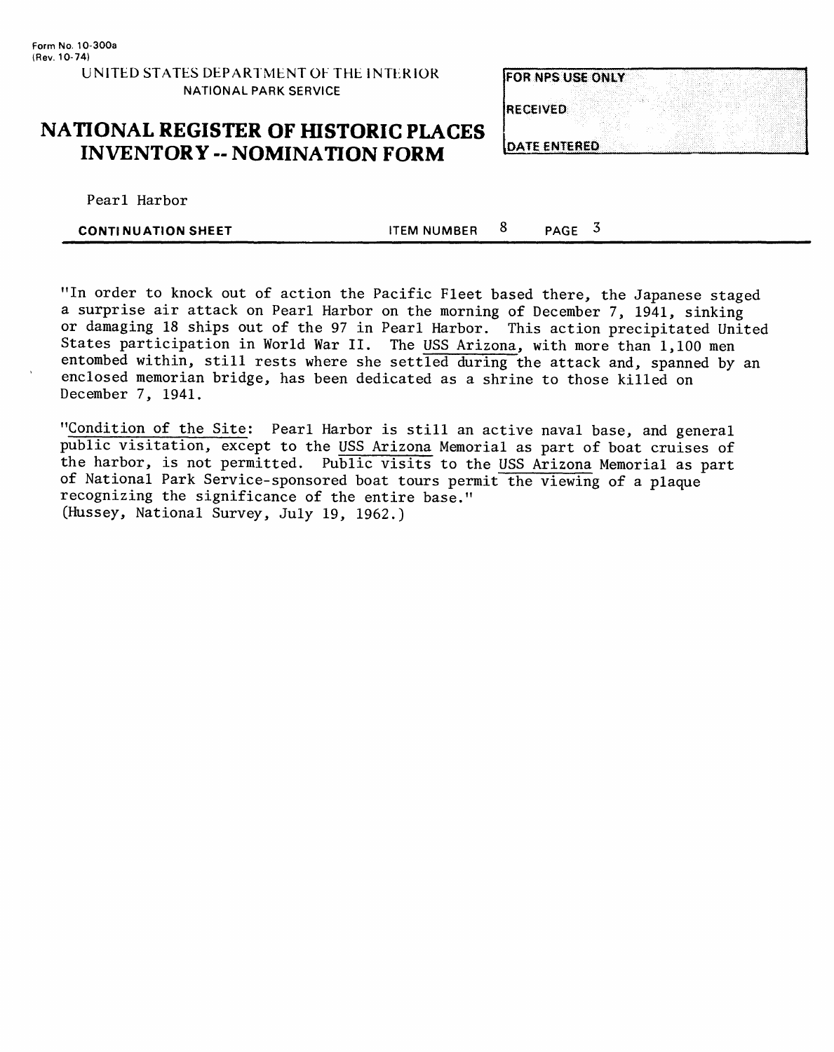#### **NATIONAL REGISTER OF HISTORIC PLACES INVENTORY -- NOMINATION FORM**

| <b>FOR NPS USE ONLY</b> |  |
|-------------------------|--|
|                         |  |
| <b>RECEIVED</b>         |  |
|                         |  |
| <b>DATE ENTERED</b>     |  |

Pearl Harbor

**CONTINUATION SHEET ITEM NUMBER** 8 **PAGE** 3

"In order to knock out of action the Pacific Fleet based there, the Japanese staged a surprise air attack on Pearl Harbor on the morning of December 7, 1941, sinking or damaging 18 ships out of the 97 in Pearl Harbor. This action precipitated United States participation in World War II. The USS Arizona, with more than 1,100 men entombed within, still rests where she settled during the attack and, spanned by an enclosed memorian bridge, has been dedicated as a shrine to those killed on December 7, 1941.

"Condition of the Site: Pearl Harbor is still an active naval base, and general public visitation, except to the USS Arizona Memorial as part of boat cruises of the harbor, is not permitted. Public visits to the USS Arizona Memorial as part of National Park Service-sponsored boat tours permit the viewing of a plaque recognizing the significance of the entire base." (Hussey, National Survey, July 19, 1962.)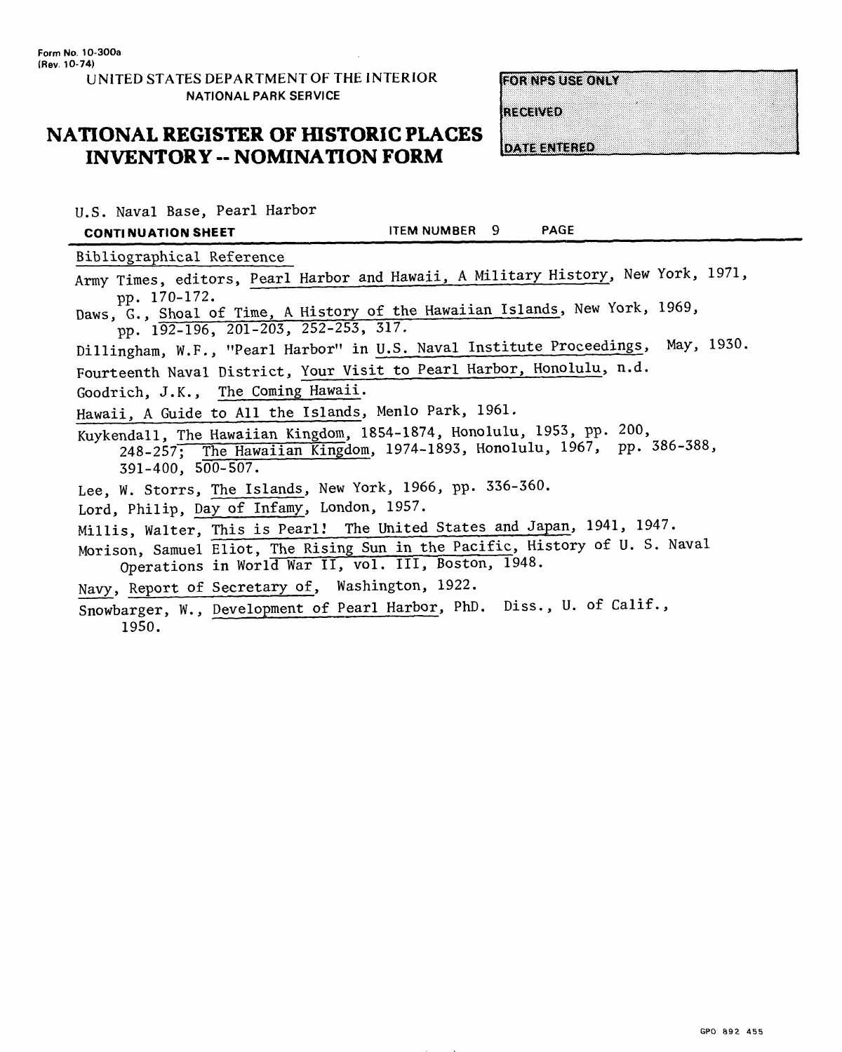#### **UNITED STATES DEPARTMENT OF THE INTERIOR NATIONAL PARK SERVICE**

#### **EORNESTISEONLY**

RECEIVED

窃

**NATIONAL REGISTER OF HISTORIC PLACES INVENTORY - NOMINATION FORM**

|  | ATE ENTERED |
|--|-------------|
|  |             |

U.S. Naval Base, Pearl Harbor

**CONTINUATION SHEET** SALL

Bibliographical Reference

Army Times, editors, Pearl Harbor and Hawaii, A Military History, New York, 1971, pp. 170-172.

Daws, G., Shoal of Time, A History of the Hawaiian Islands, New York, 1969, pp. 192-196, 201-203, 252-253, 317.

Dillingham, W.F., "Pearl Harbor" in U.S. Naval Institute Proceedings, May, 1930.

Fourteenth Naval District, Your Visit to Pearl Harbor, Honolulu, n.d.

Goodrich, J.K., The Coming Hawaii.

Hawaii, A Guide to All the Islands, Menlo Park, 1961.

Kuykendall, The Hawaiian Kingdom, 1854-1874, Honolulu, 1953, pp. 200, 248-257; The Hawaiian Kingdom, 1974-1893, Honolulu, 1967, pp. 386-388,

391-400, 500-507.

Lee, W. Storrs, The Islands, New York, 1966, pp. 336-360.

Lord, Philip, Day of Infamy, London, 1957.

Millis, Walter, This is Pearl! The United States and Japan, 1941, 1947.

Morison, Samuel Eliot, The Rising Sun in the Pacific, History of U. S. Naval Operations in World War II, vol. III, Boston, 1948.

Navy, Report of Secretary of, Washington, 1922.

Snowbarger, W., Development of Pearl Harbor, PhD. Diss., U. of Calif., 1950.